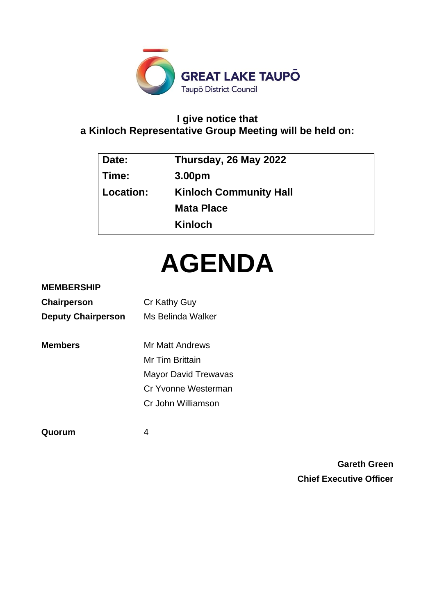

# **I give notice that a Kinloch Representative Group Meeting will be held on:**

| Date:     | Thursday, 26 May 2022         |
|-----------|-------------------------------|
| Time:     | 3.00pm                        |
| Location: | <b>Kinloch Community Hall</b> |
|           | <b>Mata Place</b>             |
|           | <b>Kinloch</b>                |
|           |                               |

# **AGENDA**

# **MEMBERSHIP**

| Chairperson               | Cr Kathy Guy                |
|---------------------------|-----------------------------|
| <b>Deputy Chairperson</b> | Ms Belinda Walker           |
|                           |                             |
| <b>Members</b>            | Mr Matt Andrews             |
|                           | Mr Tim Brittain             |
|                           | <b>Mayor David Trewavas</b> |
|                           | Cr Yvonne Westerman         |
|                           | Cr John Williamson          |
|                           |                             |

**Quorum** 4

**Gareth Green Chief Executive Officer**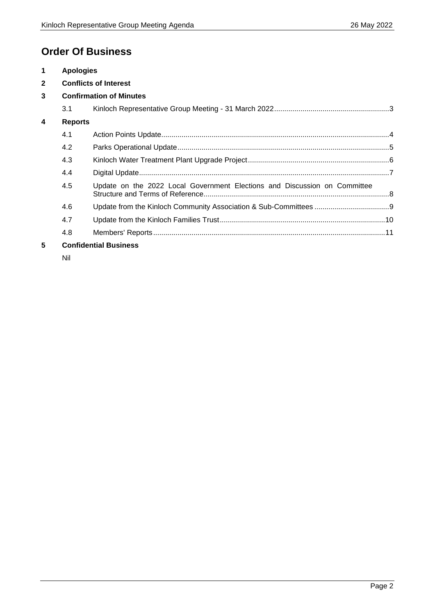# **Order Of Business**

| $\mathbf 1$             | <b>Apologies</b>               |                                                                           |  |
|-------------------------|--------------------------------|---------------------------------------------------------------------------|--|
| $\overline{2}$          | <b>Conflicts of Interest</b>   |                                                                           |  |
| 3                       | <b>Confirmation of Minutes</b> |                                                                           |  |
|                         | 3.1                            |                                                                           |  |
| $\overline{\mathbf{4}}$ | <b>Reports</b>                 |                                                                           |  |
|                         | 4.1                            |                                                                           |  |
|                         | 4.2                            |                                                                           |  |
|                         | 4.3                            |                                                                           |  |
|                         | 4.4                            |                                                                           |  |
|                         | 4.5                            | Update on the 2022 Local Government Elections and Discussion on Committee |  |
|                         | 4.6                            |                                                                           |  |
|                         | 4.7                            |                                                                           |  |
|                         | 4.8                            |                                                                           |  |
| 5                       | <b>Confidential Business</b>   |                                                                           |  |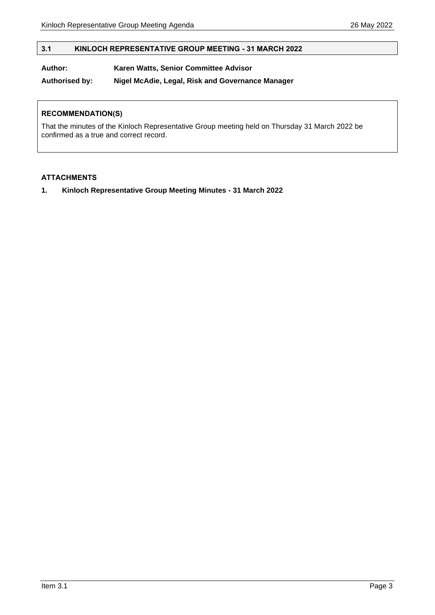# <span id="page-2-0"></span>**3.1 KINLOCH REPRESENTATIVE GROUP MEETING - 31 MARCH 2022**

# **Author: Karen Watts, Senior Committee Advisor**

**Authorised by: Nigel McAdie, Legal, Risk and Governance Manager**

#### **RECOMMENDATION(S)**

That the minutes of the Kinloch Representative Group meeting held on Thursday 31 March 2022 be confirmed as a true and correct record.

#### **ATTACHMENTS**

**1. Kinloch Representative Group Meeting Minutes - 31 March 2022**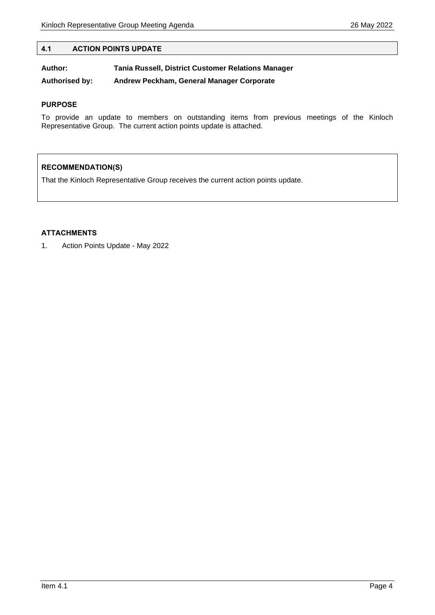#### <span id="page-3-0"></span>**4.1 ACTION POINTS UPDATE**

**Author: Tania Russell, District Customer Relations Manager**

**Authorised by: Andrew Peckham, General Manager Corporate**

#### **PURPOSE**

To provide an update to members on outstanding items from previous meetings of the Kinloch Representative Group. The current action points update is attached.

# **RECOMMENDATION(S)**

That the Kinloch Representative Group receives the current action points update.

# **ATTACHMENTS**

1. Action Points Update - May 2022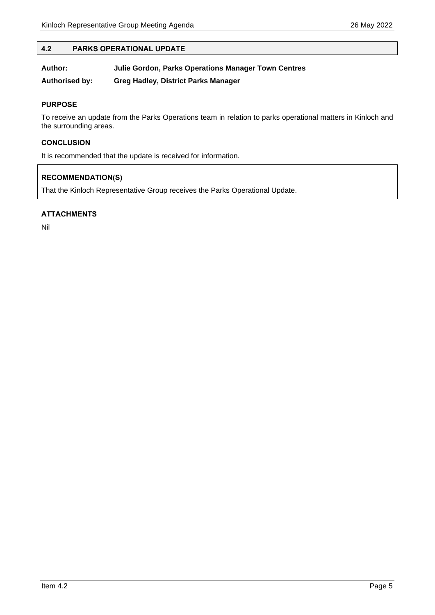#### <span id="page-4-0"></span>**4.2 PARKS OPERATIONAL UPDATE**

| Author:               | Julie Gordon, Parks Operations Manager Town Centres |
|-----------------------|-----------------------------------------------------|
| <b>Authorised by:</b> | <b>Greg Hadley, District Parks Manager</b>          |

#### **PURPOSE**

To receive an update from the Parks Operations team in relation to parks operational matters in Kinloch and the surrounding areas.

#### **CONCLUSION**

It is recommended that the update is received for information.

#### **RECOMMENDATION(S)**

That the Kinloch Representative Group receives the Parks Operational Update.

#### **ATTACHMENTS**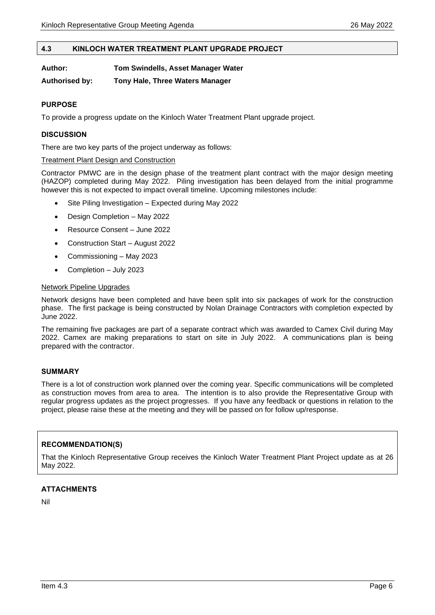#### <span id="page-5-0"></span>**4.3 KINLOCH WATER TREATMENT PLANT UPGRADE PROJECT**

**Authorised by: Tony Hale, Three Waters Manager**

#### **PURPOSE**

To provide a progress update on the Kinloch Water Treatment Plant upgrade project.

#### **DISCUSSION**

There are two key parts of the project underway as follows:

#### Treatment Plant Design and Construction

Contractor PMWC are in the design phase of the treatment plant contract with the major design meeting (HAZOP) completed during May 2022. Piling investigation has been delayed from the initial programme however this is not expected to impact overall timeline. Upcoming milestones include:

- Site Piling Investigation Expected during May 2022
- Design Completion May 2022
- Resource Consent June 2022
- Construction Start August 2022
- Commissioning May 2023
- Completion July 2023

#### Network Pipeline Upgrades

Network designs have been completed and have been split into six packages of work for the construction phase. The first package is being constructed by Nolan Drainage Contractors with completion expected by June 2022.

The remaining five packages are part of a separate contract which was awarded to Camex Civil during May 2022. Camex are making preparations to start on site in July 2022. A communications plan is being prepared with the contractor.

#### **SUMMARY**

There is a lot of construction work planned over the coming year. Specific communications will be completed as construction moves from area to area. The intention is to also provide the Representative Group with regular progress updates as the project progresses. If you have any feedback or questions in relation to the project, please raise these at the meeting and they will be passed on for follow up/response.

#### **RECOMMENDATION(S)**

That the Kinloch Representative Group receives the Kinloch Water Treatment Plant Project update as at 26 May 2022.

#### **ATTACHMENTS**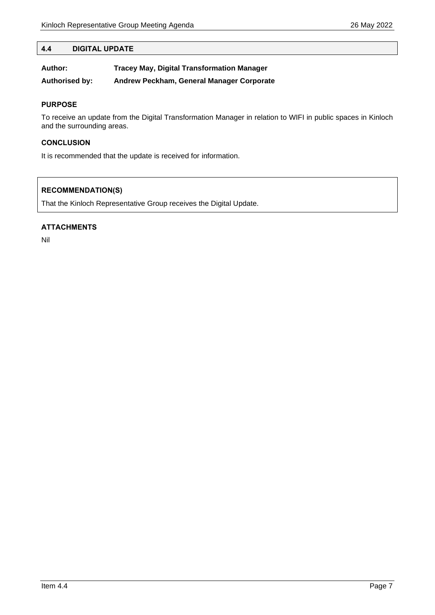# <span id="page-6-0"></span>**4.4 DIGITAL UPDATE**

| Author:        | <b>Tracey May, Digital Transformation Manager</b> |
|----------------|---------------------------------------------------|
| Authorised by: | Andrew Peckham, General Manager Corporate         |

#### **PURPOSE**

To receive an update from the Digital Transformation Manager in relation to WIFI in public spaces in Kinloch and the surrounding areas.

#### **CONCLUSION**

It is recommended that the update is received for information.

# **RECOMMENDATION(S)**

That the Kinloch Representative Group receives the Digital Update.

#### **ATTACHMENTS**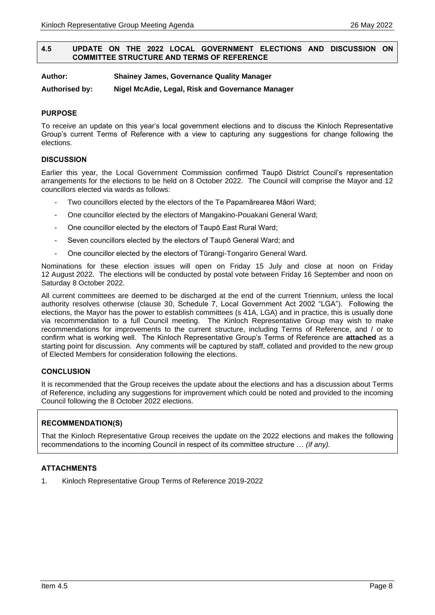#### <span id="page-7-0"></span>**4.5 UPDATE ON THE 2022 LOCAL GOVERNMENT ELECTIONS AND DISCUSSION ON COMMITTEE STRUCTURE AND TERMS OF REFERENCE**

**Author: Shainey James, Governance Quality Manager**

**Authorised by: Nigel McAdie, Legal, Risk and Governance Manager**

#### **PURPOSE**

To receive an update on this year's local government elections and to discuss the Kinloch Representative Group's current Terms of Reference with a view to capturing any suggestions for change following the elections.

#### **DISCUSSION**

Earlier this year, the Local Government Commission confirmed Taupō District Council's representation arrangements for the elections to be held on 8 October 2022. The Council will comprise the Mayor and 12 councillors elected via wards as follows:

- Two councillors elected by the electors of the Te Papamārearea Māori Ward;
- One councillor elected by the electors of Mangakino-Pouakani General Ward;
- One councillor elected by the electors of Taupō East Rural Ward;
- Seven councillors elected by the electors of Taupō General Ward; and
- One councillor elected by the electors of Tūrangi-Tongariro General Ward.

Nominations for these election issues will open on Friday 15 July and close at noon on Friday 12 August 2022. The elections will be conducted by postal vote between Friday 16 September and noon on Saturday 8 October 2022.

All current committees are deemed to be discharged at the end of the current Triennium, unless the local authority resolves otherwise (clause 30, Schedule 7, Local Government Act 2002 "LGA"). Following the elections, the Mayor has the power to establish committees (s 41A, LGA) and in practice, this is usually done via recommendation to a full Council meeting. The Kinloch Representative Group may wish to make recommendations for improvements to the current structure, including Terms of Reference, and / or to confirm what is working well. The Kinloch Representative Group's Terms of Reference are **attached** as a starting point for discussion. Any comments will be captured by staff, collated and provided to the new group of Elected Members for consideration following the elections.

#### **CONCLUSION**

It is recommended that the Group receives the update about the elections and has a discussion about Terms of Reference, including any suggestions for improvement which could be noted and provided to the incoming Council following the 8 October 2022 elections.

# **RECOMMENDATION(S)**

That the Kinloch Representative Group receives the update on the 2022 elections and makes the following recommendations to the incoming Council in respect of its committee structure … *(if any).*

#### **ATTACHMENTS**

1. Kinloch Representative Group Terms of Reference 2019-2022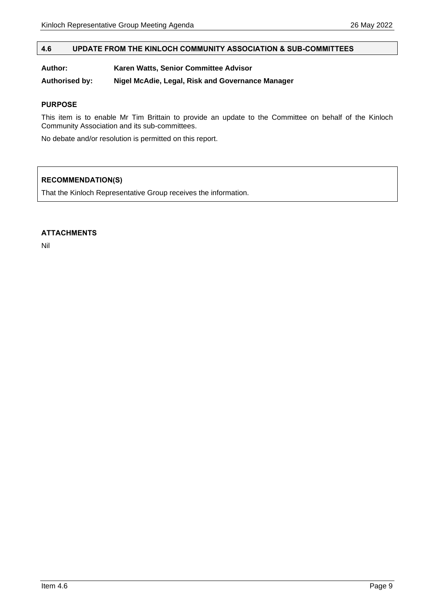#### <span id="page-8-0"></span>**4.6 UPDATE FROM THE KINLOCH COMMUNITY ASSOCIATION & SUB-COMMITTEES**

#### **Author: Karen Watts, Senior Committee Advisor**

**Authorised by: Nigel McAdie, Legal, Risk and Governance Manager**

#### **PURPOSE**

This item is to enable Mr Tim Brittain to provide an update to the Committee on behalf of the Kinloch Community Association and its sub-committees.

No debate and/or resolution is permitted on this report.

# **RECOMMENDATION(S)**

That the Kinloch Representative Group receives the information.

#### **ATTACHMENTS**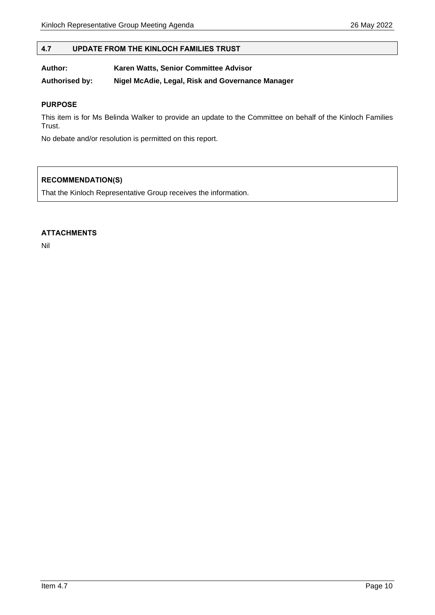#### <span id="page-9-0"></span>**4.7 UPDATE FROM THE KINLOCH FAMILIES TRUST**

#### **Author: Karen Watts, Senior Committee Advisor**

**Authorised by: Nigel McAdie, Legal, Risk and Governance Manager**

#### **PURPOSE**

This item is for Ms Belinda Walker to provide an update to the Committee on behalf of the Kinloch Families Trust.

No debate and/or resolution is permitted on this report.

# **RECOMMENDATION(S)**

That the Kinloch Representative Group receives the information.

#### **ATTACHMENTS**